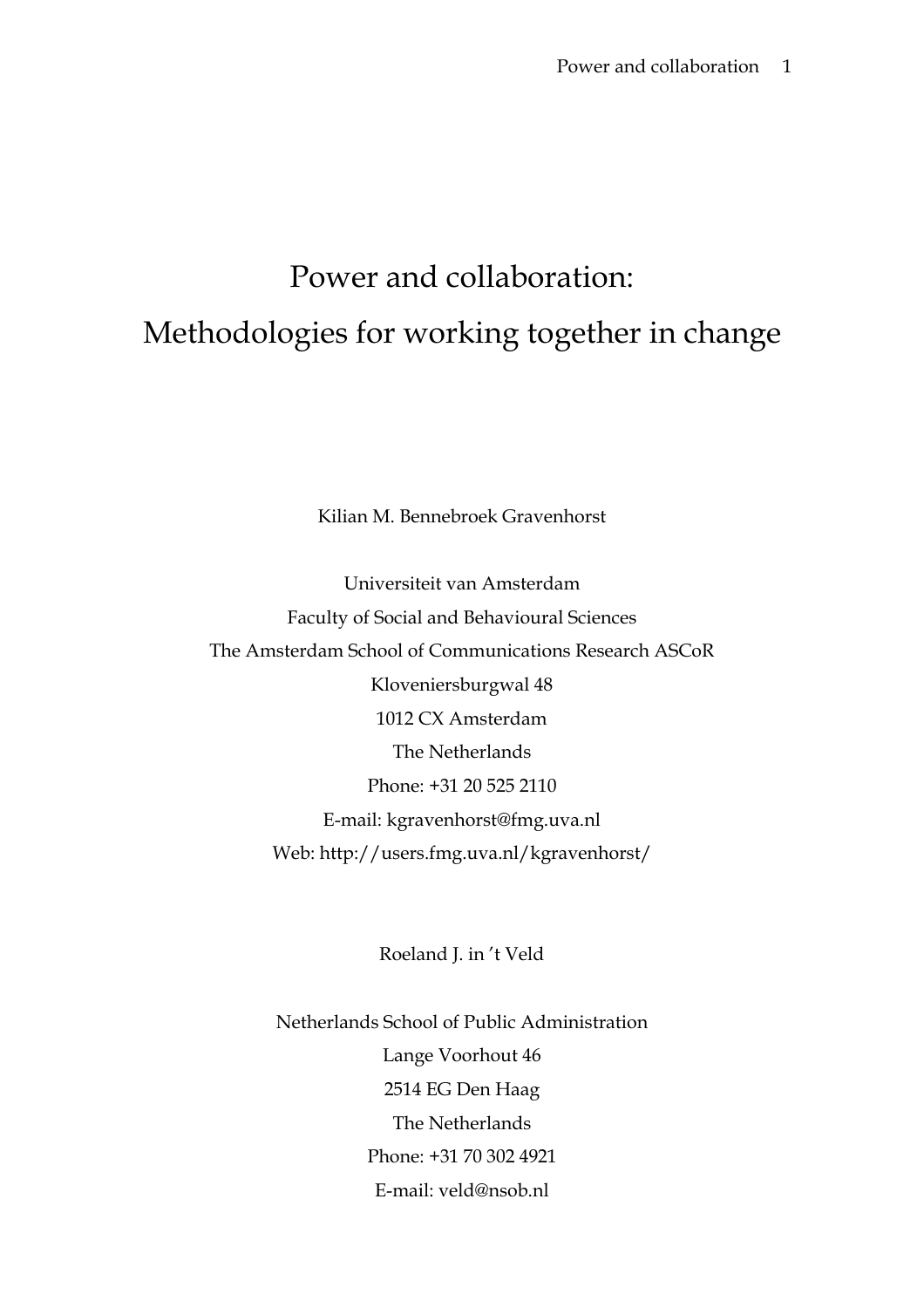## Power and collaboration: Methodologies for working together in change

Kilian M. Bennebroek Gravenhorst

Universiteit van Amsterdam Faculty of Social and Behavioural Sciences The Amsterdam School of Communications Research ASCoR Kloveniersburgwal 48 1012 CX Amsterdam The Netherlands Phone: +31 20 525 2110 E-mail: kgravenhorst@fmg.uva.nl Web: http://users.fmg.uva.nl/kgravenhorst/

Roeland J. in 't Veld

Netherlands School of Public Administration Lange Voorhout 46 2514 EG Den Haag The Netherlands Phone: +31 70 302 4921 E-mail: veld@nsob.nl